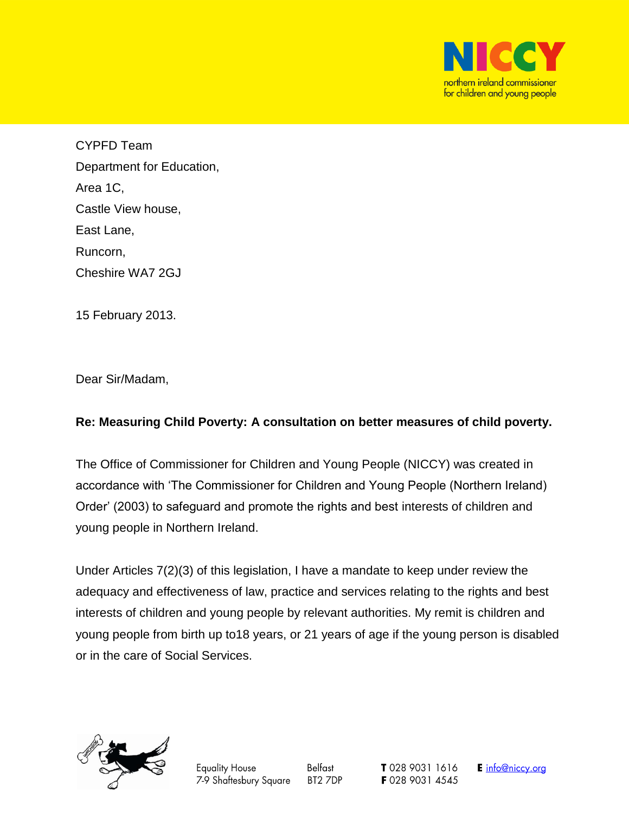

CYPFD Team Department for Education, Area 1C, Castle View house, East Lane, Runcorn, Cheshire WA7 2GJ

15 February 2013.

Dear Sir/Madam,

## **Re: Measuring Child Poverty: A consultation on better measures of child poverty.**

The Office of Commissioner for Children and Young People (NICCY) was created in accordance with 'The Commissioner for Children and Young People (Northern Ireland) Order' (2003) to safeguard and promote the rights and best interests of children and young people in Northern Ireland.

Under Articles 7(2)(3) of this legislation, I have a mandate to keep under review the adequacy and effectiveness of law, practice and services relating to the rights and best interests of children and young people by relevant authorities. My remit is children and young people from birth up to18 years, or 21 years of age if the young person is disabled or in the care of Social Services.



Belfast BT2 7DP T 028 9031 1616 F 028 9031 4545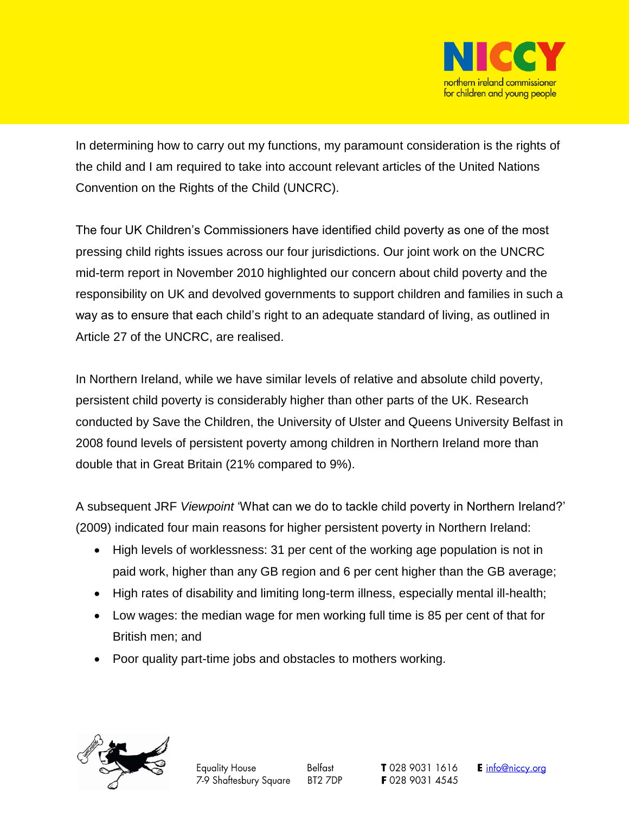

In determining how to carry out my functions, my paramount consideration is the rights of the child and I am required to take into account relevant articles of the United Nations Convention on the Rights of the Child (UNCRC).

The four UK Children's Commissioners have identified child poverty as one of the most pressing child rights issues across our four jurisdictions. Our joint work on the UNCRC mid-term report in November 2010 highlighted our concern about child poverty and the responsibility on UK and devolved governments to support children and families in such a way as to ensure that each child's right to an adequate standard of living, as outlined in Article 27 of the UNCRC, are realised.

In Northern Ireland, while we have similar levels of relative and absolute child poverty, persistent child poverty is considerably higher than other parts of the UK. Research conducted by Save the Children, the University of Ulster and Queens University Belfast in 2008 found levels of persistent poverty among children in Northern Ireland more than double that in Great Britain (21% compared to 9%).

A subsequent JRF *Viewpoint* 'What can we do to tackle child poverty in Northern Ireland?' (2009) indicated four main reasons for higher persistent poverty in Northern Ireland:

- High levels of worklessness: 31 per cent of the working age population is not in paid work, higher than any GB region and 6 per cent higher than the GB average;
- High rates of disability and limiting long-term illness, especially mental ill-health;
- Low wages: the median wage for men working full time is 85 per cent of that for British men; and
- Poor quality part-time jobs and obstacles to mothers working.

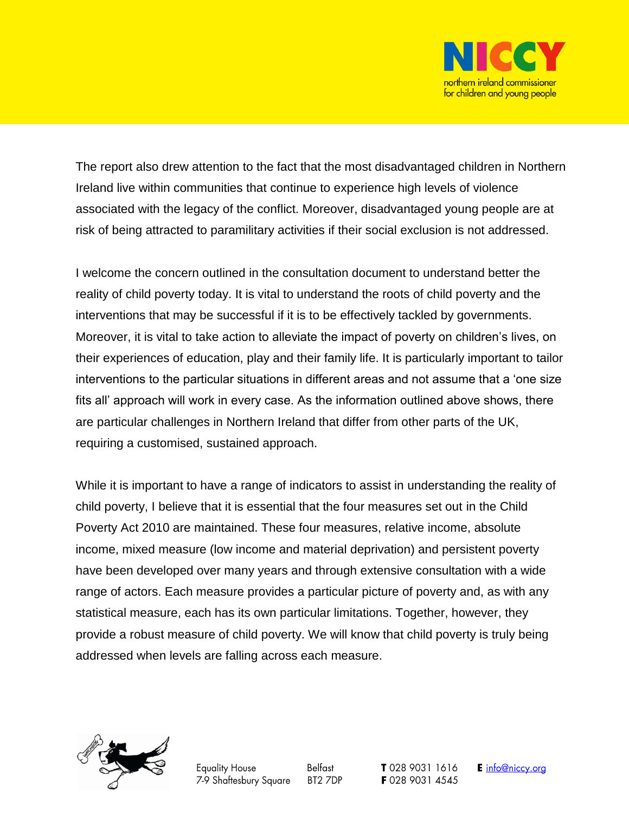

The report also drew attention to the fact that the most disadvantaged children in Northern Ireland live within communities that continue to experience high levels of violence associated with the legacy of the conflict. Moreover, disadvantaged young people are at risk of being attracted to paramilitary activities if their social exclusion is not addressed.

I welcome the concern outlined in the consultation document to understand better the reality of child poverty today. It is vital to understand the roots of child poverty and the interventions that may be successful if it is to be effectively tackled by governments. Moreover, it is vital to take action to alleviate the impact of poverty on children's lives, on their experiences of education, play and their family life. It is particularly important to tailor interventions to the particular situations in different areas and not assume that a 'one size fits all' approach will work in every case. As the information outlined above shows, there are particular challenges in Northern Ireland that differ from other parts of the UK, requiring a customised, sustained approach.

While it is important to have a range of indicators to assist in understanding the reality of child poverty, I believe that it is essential that the four measures set out in the Child Poverty Act 2010 are maintained. These four measures, relative income, absolute income, mixed measure (low income and material deprivation) and persistent poverty have been developed over many years and through extensive consultation with a wide range of actors. Each measure provides a particular picture of poverty and, as with any statistical measure, each has its own particular limitations. Together, however, they provide a robust measure of child poverty. We will know that child poverty is truly being addressed when levels are falling across each measure.



**Equality House** 7-9 Shaftesbury Square

Belfast BT2 7DP T 028 9031 1616 F 028 9031 4545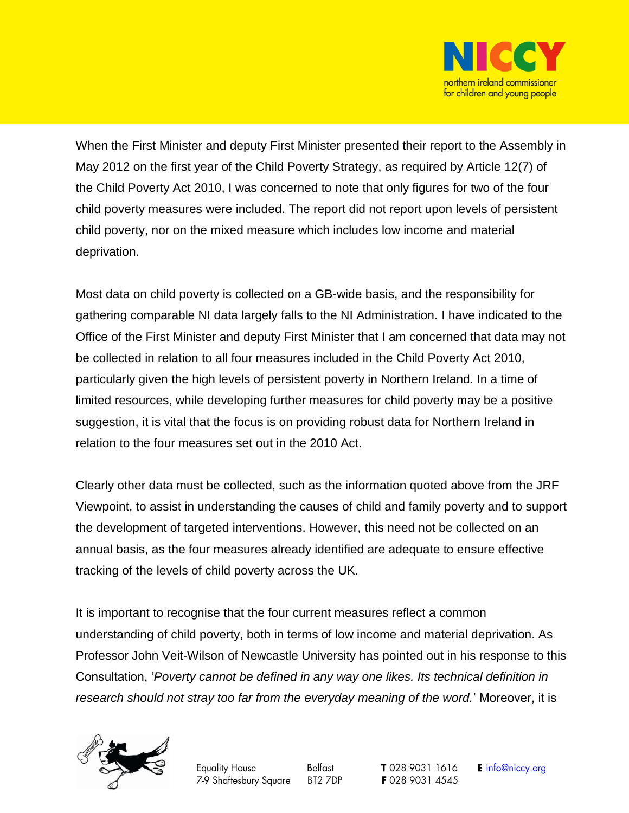

When the First Minister and deputy First Minister presented their report to the Assembly in May 2012 on the first year of the Child Poverty Strategy, as required by Article 12(7) of the Child Poverty Act 2010, I was concerned to note that only figures for two of the four child poverty measures were included. The report did not report upon levels of persistent child poverty, nor on the mixed measure which includes low income and material deprivation.

Most data on child poverty is collected on a GB-wide basis, and the responsibility for gathering comparable NI data largely falls to the NI Administration. I have indicated to the Office of the First Minister and deputy First Minister that I am concerned that data may not be collected in relation to all four measures included in the Child Poverty Act 2010, particularly given the high levels of persistent poverty in Northern Ireland. In a time of limited resources, while developing further measures for child poverty may be a positive suggestion, it is vital that the focus is on providing robust data for Northern Ireland in relation to the four measures set out in the 2010 Act.

Clearly other data must be collected, such as the information quoted above from the JRF Viewpoint, to assist in understanding the causes of child and family poverty and to support the development of targeted interventions. However, this need not be collected on an annual basis, as the four measures already identified are adequate to ensure effective tracking of the levels of child poverty across the UK.

It is important to recognise that the four current measures reflect a common understanding of child poverty, both in terms of low income and material deprivation. As Professor John Veit-Wilson of Newcastle University has pointed out in his response to this Consultation, '*Poverty cannot be defined in any way one likes. Its technical definition in research should not stray too far from the everyday meaning of the word.*' Moreover, it is



Belfast BT2 7DP